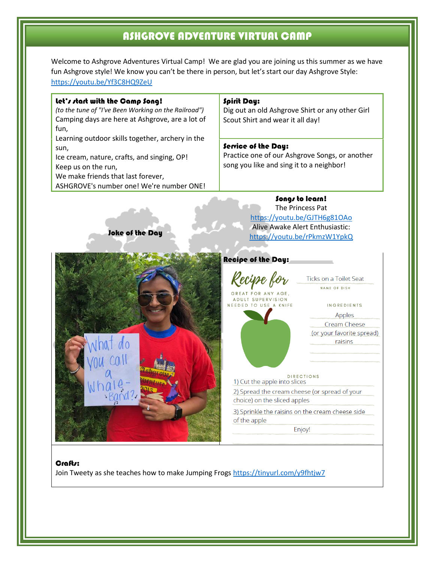## ASHGROVE ADVENTURE VIRTUAL CAMP

Welcome to Ashgrove Adventures Virtual Camp! We are glad you are joining us this summer as we have fun Ashgrove style! We know you can't be there in person, but let's start our day Ashgrove Style: <https://youtu.be/Yf3C8HQ9ZeU>

| let's start with the Camp Song!<br>(to the tune of "I've Been Working on the Railroad")<br>Camping days are here at Ashgrove, are a lot of<br>fun,                                                               | Spirit Day:<br>Dig out an old Ashgrove Shirt or any other Girl<br>Scout Shirt and wear it all day!                |
|------------------------------------------------------------------------------------------------------------------------------------------------------------------------------------------------------------------|-------------------------------------------------------------------------------------------------------------------|
| Learning outdoor skills together, archery in the<br>sun,<br>Ice cream, nature, crafts, and singing, OP!<br>Keep us on the run,<br>We make friends that last forever,<br>ASHGROVE's number one! We're number ONE! | Service of the Day:<br>Practice one of our Ashgrove Songs, or another<br>song you like and sing it to a neighbor! |

### Songs to learn! The Princess Pat <https://youtu.be/GJTH6g81OAo> Alive Awake Alert Enthusiastic: <https://youtu.be/rPkmzW1YpkQ>



Joke of the Day

Ticks on a Toilet Seat NAME OF DISH

INGREDIENTS Apples

Cream Cheese (or your favorite spread) raisins

DIRECTIONS<br>Cut the apple into slices

Kecipe for

GREAT FOR ANY AGE. **ADULT SUPERVISION** 

2) Spread the cream cheese (or spread of your choice) on the sliced apples

3) Sprinkle the raisins on the cream cheese side of the apple

Enjoy!

#### Crafts:

Join Tweety as she teaches how to make Jumping Frogs<https://tinyurl.com/y9fhtjw7>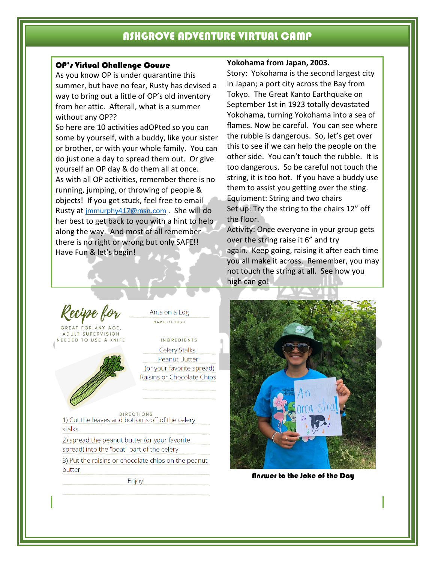## ASHGROVE ADVENTURE VIRTUAL CAMP

#### OP's Virtual Challenge Course

As you know OP is under quarantine this summer, but have no fear, Rusty has devised a way to bring out a little of OP's old inventory from her attic. Afterall, what is a summer without any OP??

So here are 10 activities adOPted so you can some by yourself, with a buddy, like your sister or brother, or with your whole family. You can do just one a day to spread them out. Or give yourself an OP day & do them all at once. As with all OP activities, remember there is no running, jumping, or throwing of people & objects! If you get stuck, feel free to email Rusty at [jmmurphy417@msn.com](mailto:jmmurphy417@msn.com) . She will do her best to get back to you with a hint to help along the way. And most of all remember there is no right or wrong but only SAFE!! Have Fun & let's begin!

#### **Yokohama from Japan, 2003.**

Story: Yokohama is the second largest city in Japan; a port city across the Bay from Tokyo. The Great Kanto Earthquake on September 1st in 1923 totally devastated Yokohama, turning Yokohama into a sea of flames. Now be careful. You can see where the rubble is dangerous. So, let's get over this to see if we can help the people on the other side. You can't touch the rubble. It is too dangerous. So be careful not touch the string, it is too hot. If you have a buddy use them to assist you getting over the sting. Equipment: String and two chairs Set up: Try the string to the chairs 12" off the floor.

Activity: Once everyone in your group gets over the string raise it 6" and try again. Keep going, raising it after each time you all make it across. Remember, you may not touch the string at all. See how you high can go!

<sup>z</sup>ecipe for

GREAT FOR ANY AGE **ADULT SUPERVISION** NEEDED TO USE A KNIFE



Ants on a Log NAME OF DISH

**INGREDIENTS** 

Celery Stalks Peanut Butter (or your favorite spread) Raisins or Chocolate Chips

**DIRECTIONS** 1) Cut the leaves and bottoms off of the celery stalks

2) spread the peanut butter (or your favorite spread) into the "boat" part of the celery

3) Put the raisins or chocolate chips on the peanut butter

Enjoy!



Answer to the Joke of the Day